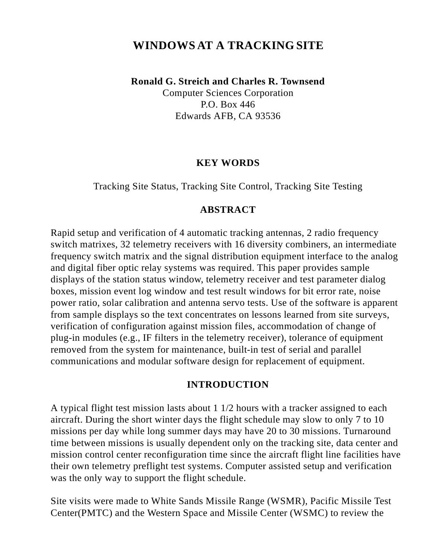# **WINDOWSAT A TRACKING SITE**

**Ronald G. Streich and Charles R. Townsend**

Computer Sciences Corporation P.O. Box 446 Edwards AFB, CA 93536

#### **KEY WORDS**

Tracking Site Status, Tracking Site Control, Tracking Site Testing

### **ABSTRACT**

Rapid setup and verification of 4 automatic tracking antennas, 2 radio frequency switch matrixes, 32 telemetry receivers with 16 diversity combiners, an intermediate frequency switch matrix and the signal distribution equipment interface to the analog and digital fiber optic relay systems was required. This paper provides sample displays of the station status window, telemetry receiver and test parameter dialog boxes, mission event log window and test result windows for bit error rate, noise power ratio, solar calibration and antenna servo tests. Use of the software is apparent from sample displays so the text concentrates on lessons learned from site surveys, verification of configuration against mission files, accommodation of change of plug-in modules (e.g., IF filters in the telemetry receiver), tolerance of equipment removed from the system for maintenance, built-in test of serial and parallel communications and modular software design for replacement of equipment.

#### **INTRODUCTION**

A typical flight test mission lasts about 1 1/2 hours with a tracker assigned to each aircraft. During the short winter days the flight schedule may slow to only 7 to 10 missions per day while long summer days may have 20 to 30 missions. Turnaround time between missions is usually dependent only on the tracking site, data center and mission control center reconfiguration time since the aircraft flight line facilities have their own telemetry preflight test systems. Computer assisted setup and verification was the only way to support the flight schedule.

Site visits were made to White Sands Missile Range (WSMR), Pacific Missile Test Center(PMTC) and the Western Space and Missile Center (WSMC) to review the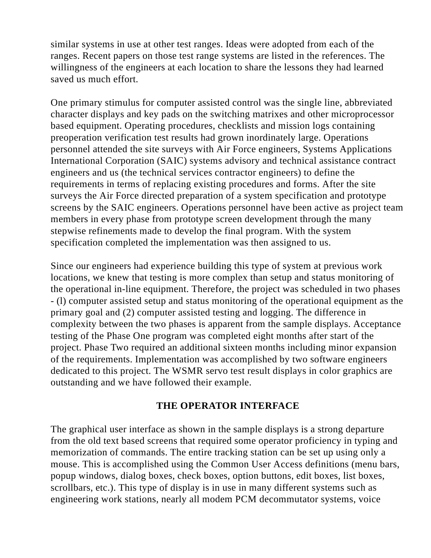similar systems in use at other test ranges. Ideas were adopted from each of the ranges. Recent papers on those test range systems are listed in the references. The willingness of the engineers at each location to share the lessons they had learned saved us much effort.

One primary stimulus for computer assisted control was the single line, abbreviated character displays and key pads on the switching matrixes and other microprocessor based equipment. Operating procedures, checklists and mission logs containing preoperation verification test results had grown inordinately large. Operations personnel attended the site surveys with Air Force engineers, Systems Applications International Corporation (SAIC) systems advisory and technical assistance contract engineers and us (the technical services contractor engineers) to define the requirements in terms of replacing existing procedures and forms. After the site surveys the Air Force directed preparation of a system specification and prototype screens by the SAIC engineers. Operations personnel have been active as project team members in every phase from prototype screen development through the many stepwise refinements made to develop the final program. With the system specification completed the implementation was then assigned to us.

Since our engineers had experience building this type of system at previous work locations, we knew that testing is more complex than setup and status monitoring of the operational in-line equipment. Therefore, the project was scheduled in two phases - (l) computer assisted setup and status monitoring of the operational equipment as the primary goal and (2) computer assisted testing and logging. The difference in complexity between the two phases is apparent from the sample displays. Acceptance testing of the Phase One program was completed eight months after start of the project. Phase Two required an additional sixteen months including minor expansion of the requirements. Implementation was accomplished by two software engineers dedicated to this project. The WSMR servo test result displays in color graphics are outstanding and we have followed their example.

### **THE OPERATOR INTERFACE**

The graphical user interface as shown in the sample displays is a strong departure from the old text based screens that required some operator proficiency in typing and memorization of commands. The entire tracking station can be set up using only a mouse. This is accomplished using the Common User Access definitions (menu bars, popup windows, dialog boxes, check boxes, option buttons, edit boxes, list boxes, scrollbars, etc.). This type of display is in use in many different systems such as engineering work stations, nearly all modem PCM decommutator systems, voice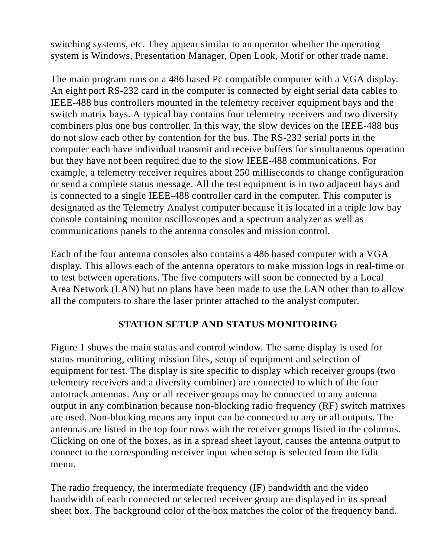switching systems, etc. They appear similar to an operator whether the operating system is Windows, Presentation Manager, Open Look, Motif or other trade name.

The main program runs on a 486 based Pc compatible computer with a VGA display. An eight port RS-232 card in the computer is connected by eight serial data cables to IEEE-488 bus controllers mounted in the telemetry receiver equipment bays and the switch matrix bays. A typical bay contains four telemetry receivers and two diversity combiners plus one bus controller. In this way, the slow devices on the IEEE-488 bus do not slow each other by contention for the bus. The RS-232 serial ports in the computer each have individual transmit and receive buffers for simultaneous operation but they have not been required due to the slow IEEE-488 communications. For example, a telemetry receiver requires about 250 milliseconds to change configuration or send a complete status message. All the test equipment is in two adjacent bays and is connected to a single IEEE-488 controller card in the computer. This computer is designated as the Telemetry Analyst computer because it is located in a triple low bay console containing monitor oscilloscopes and a spectrum analyzer as well as communications panels to the antenna consoles and mission control.

Each of the four antenna consoles also contains a 486 based computer with a VGA display. This allows each of the antenna operators to make mission logs in real-time or to test between operations. The five computers will soon be connected by a Local Area Network (LAN) but no plans have been made to use the LAN other than to allow all the computers to share the laser printer attached to the analyst computer.

# **STATION SETUP AND STATUS MONITORING**

Figure 1 shows the main status and control window. The same display is used for status monitoring, editing mission files, setup of equipment and selection of equipment for test. The display is site specific to display which receiver groups (two telemetry receivers and a diversity combiner) are connected to which of the four autotrack antennas. Any or all receiver groups may be connected to any antenna output in any combination because non-blocking radio frequency (RF) switch matrixes are used. Non-blocking means any input can be connected to any or all outputs. The antennas are listed in the top four rows with the receiver groups listed in the columns. Clicking on one of the boxes, as in a spread sheet layout, causes the antenna output to connect to the corresponding receiver input when setup is selected from the Edit menu.

The radio frequency, the intermediate frequency (IF) bandwidth and the video bandwidth of each connected or selected receiver group are displayed in its spread sheet box. The background color of the box matches the color of the frequency band.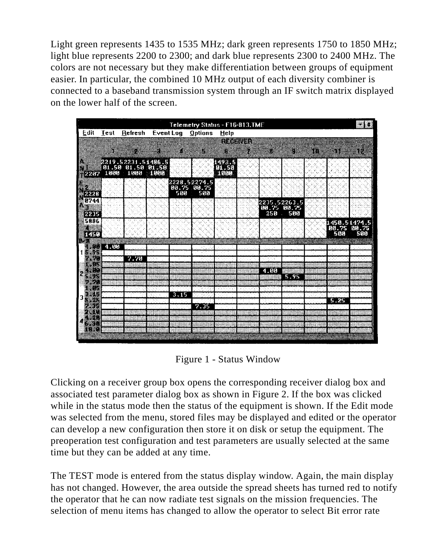Light green represents 1435 to 1535 MHz; dark green represents 1750 to 1850 MHz; light blue represents 2200 to 2300; and dark blue represents 2300 to 2400 MHz. The colors are not necessary but they make differentiation between groups of equipment easier. In particular, the combined 10 MHz output of each diversity combiner is connected to a baseband transmission system through an IF switch matrix displayed on the lower half of the screen.

|                  |             |                                          |         |                    | Telemetry Status - F16-813.TME |              |                |      |               |     |             | ≋l€          |
|------------------|-------------|------------------------------------------|---------|--------------------|--------------------------------|--------------|----------------|------|---------------|-----|-------------|--------------|
| Edit             | <b>Test</b> | Refresh                                  |         |                    | Event Log Options              | <b>Help</b>  |                |      |               |     |             |              |
|                  |             |                                          |         |                    |                                |              | <u>menteri</u> |      |               |     |             |              |
|                  |             |                                          |         | ä                  |                                | B            |                | 13   | V             | 383 | 838         | 82           |
|                  |             | 2219.52231.51486.5<br> 01.50 01.50 01.50 |         |                    |                                | 1493.5       |                |      |               |     |             |              |
| 2207             | 1000        | 1000                                     | 1000    |                    |                                | - 56<br>noan |                |      |               |     |             |              |
|                  |             |                                          |         | 2228.52274.5       |                                |              |                |      |               |     |             |              |
| 2223             |             |                                          |         | 00.75 00.75<br>500 | 500                            |              |                |      |               |     |             |              |
| 0744             |             |                                          |         |                    |                                |              |                |      | 2235.52263.5  |     |             |              |
| ţ,               |             |                                          |         |                    |                                |              |                |      | 00.75 00.75   |     |             |              |
| \$2235<br>5886   |             |                                          |         |                    |                                |              |                | 250  | 500<br>$\sim$ |     |             |              |
|                  |             |                                          |         |                    |                                |              |                |      |               |     | 00.75 00.75 | 1450.51474.5 |
| 1450             |             |                                          |         |                    |                                |              |                |      |               |     | 500         | 500          |
| X.<br>Bå<br>6368 | 4.00        |                                          |         |                    | 422                            |              |                |      |               |     |             |              |
| œ<br>æ<br>æ      |             | 7.70                                     | ele leg |                    |                                |              |                |      |               |     |             |              |
| 86               |             |                                          |         |                    |                                |              |                |      |               |     |             |              |
| w<br>83          |             |                                          |         |                    |                                |              |                | 4.00 | 5.95          |     |             |              |
| æ.               |             |                                          |         |                    |                                |              |                |      |               |     |             |              |
| 32<br>89         |             |                                          |         | 3.15               |                                |              |                |      |               |     |             |              |
| 26               |             |                                          |         |                    |                                |              |                |      |               |     | $5 - 25$    |              |
| Ø.<br>w          |             |                                          |         |                    | 7.35                           |              |                |      |               |     |             |              |
| 谷院               |             |                                          |         |                    |                                |              |                |      |               |     |             |              |
| xo<br>88 Y.Y     |             |                                          |         |                    |                                |              |                |      |               |     |             |              |
|                  |             |                                          |         |                    |                                |              |                |      |               |     |             |              |

Figure 1 - Status Window

Clicking on a receiver group box opens the corresponding receiver dialog box and associated test parameter dialog box as shown in Figure 2. If the box was clicked while in the status mode then the status of the equipment is shown. If the Edit mode was selected from the menu, stored files may be displayed and edited or the operator can develop a new configuration then store it on disk or setup the equipment. The preoperation test configuration and test parameters are usually selected at the same time but they can be added at any time.

The TEST mode is entered from the status display window. Again, the main display has not changed. However, the area outside the spread sheets has turned red to notify the operator that he can now radiate test signals on the mission frequencies. The selection of menu items has changed to allow the operator to select Bit error rate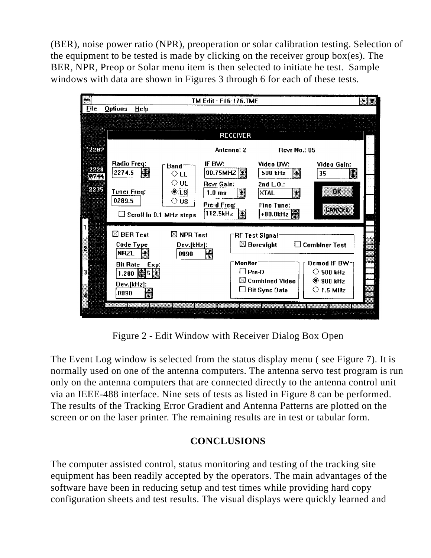(BER), noise power ratio (NPR), preoperation or solar calibration testing. Selection of the equipment to be tested is made by clicking on the receiver group box(es). The BER, NPR, Preop or Solar menu item is then selected to initiate he test. Sample windows with data are shown in Figures 3 through 6 for each of these tests.

| m.                           |                                                                                                                 |                                                                 | TM Edit - F16-176.TMF                                                                                                            |                                                                                                                              |                                                                                                |
|------------------------------|-----------------------------------------------------------------------------------------------------------------|-----------------------------------------------------------------|----------------------------------------------------------------------------------------------------------------------------------|------------------------------------------------------------------------------------------------------------------------------|------------------------------------------------------------------------------------------------|
| File                         | <b>Oplions</b><br>$He$ <sub>lp</sub>                                                                            |                                                                 | <b>RECEIVER</b>                                                                                                                  |                                                                                                                              |                                                                                                |
| 2207<br>2228<br>0744<br>2235 | Radio Freq:<br>2274.5<br>Tuner Freq:<br>0289.5<br>$\Box$ Scroll in 0.1 MHz steps                                | "Band"<br>$\circ$ LL<br>$\circ$ UL<br>$\odot$ [S]<br>$\circ$ us | Antenna: 2<br>IF BW:<br>$ 00.75$ MHZ $ \frac{34}{24} $<br><b>Rovi Gain:</b><br>B<br>1.0 <sub>ms</sub><br>Pre-d Freq:<br>112.5kHz | <b>Revr No.: 05</b><br>Video BW:<br>500 kHz<br>g<br>2nd L.O.:<br>Ō.<br>XTAL<br><b>Fine Tune:</b><br>+00.0kHz                 | Video Gain:<br>35<br>Ñ<br>03<br><b>CANCE</b>                                                   |
|                              | $\boxtimes$ BER Test<br>Code Type<br><b>NRZI</b><br><b>Bit Rate</b><br>Exp:<br>$1.280$ 器5<br>Dev.[kHz]:<br>0090 | $\boxtimes$ NPR Test<br>Dev.[kHz]:<br>0090                      | 家族                                                                                                                               | 'RF Test Signal'<br>$\boxtimes$ Boresight<br><b>Monitor</b><br>$\Box$ Pre-D<br>$\boxtimes$ Combined Video<br>□ Bit Sync Data | $\Box$ Combiner Test<br>Demod IF BW 71<br>$\circ$ 500 kHz<br>$@$ 900 kHz<br>$\bigcirc$ 1.5 MHz |

Figure 2 - Edit Window with Receiver Dialog Box Open

The Event Log window is selected from the status display menu ( see Figure 7). It is normally used on one of the antenna computers. The antenna servo test program is run only on the antenna computers that are connected directly to the antenna control unit via an IEEE-488 interface. Nine sets of tests as listed in Figure 8 can be performed. The results of the Tracking Error Gradient and Antenna Patterns are plotted on the screen or on the laser printer. The remaining results are in test or tabular form.

# **CONCLUSIONS**

The computer assisted control, status monitoring and testing of the tracking site equipment has been readily accepted by the operators. The main advantages of the software have been in reducing setup and test times while providing hard copy configuration sheets and test results. The visual displays were quickly learned and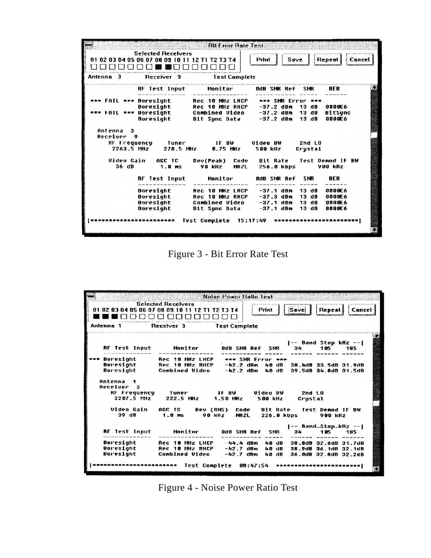|                                                 |                                                                              | <b>Bit From Pate Test</b>                                                           |                                                          |                                    |                                      |
|-------------------------------------------------|------------------------------------------------------------------------------|-------------------------------------------------------------------------------------|----------------------------------------------------------|------------------------------------|--------------------------------------|
|                                                 | <b>Selected Receivers</b><br>01 02 03 04 05 06 07 08 09 10 11 12 T1 T2 T3 T4 |                                                                                     | Save<br>Print                                            | Repeat                             | Cancel                               |
| Antenna 3                                       | Receiver 9                                                                   | <b>Test Complete</b>                                                                |                                                          |                                    |                                      |
|                                                 | <b>RF Test Input</b>                                                         | Monitor                                                                             | <b>OdB SNR Ref</b>                                       | <b>SHR</b>                         | <b>RFR</b>                           |
| *** FAIL *** Boresight<br>FAIL ***              | Boresiaht<br>Boresight<br>Buresight                                          | Rec 10 MHz LHCP<br>Rec 10 MHz RHCP<br>Combined Video<br>Bit Sunc Data               | *** SNR Error ***<br>-37.2 dBm<br>-37.2 dBm<br>-37.2 dBm | 13 dB<br>13 dB<br>13 dB            | 0000E6<br><b>BitSunc</b><br>0000E6   |
| Antenna 3<br>Receiver<br><b>g</b><br>2263.5 MHz | RF Frequency – Tuner<br>278.5 MHz                                            | <b>IFBW</b><br><b>8.75 MHz</b>                                                      | Video BW<br><b>500 kHz</b>                               | <b>2nd LO</b><br>Crustal           |                                      |
| Video Gain<br>36 dB                             | AGC TC<br>1.0 <sub>m</sub>                                                   | Dev(Peak)<br>Code<br>90 kHz<br><b>NRZL</b>                                          | <b>Bit Rate</b><br>256.0 kbps                            | Test Demod IF BW<br><b>900 kHz</b> |                                      |
|                                                 | <b>RF Test Input</b>                                                         | Monitor                                                                             | OdB SNR Ref                                              | <b>SHR</b>                         | BER                                  |
|                                                 | Boresight<br>Boresight<br>Boresight<br>Boresight                             | <b>Rec 10 MHz LHCP</b><br><b>Rec 10 MHz RHCP</b><br>Combined Video<br>Bit Sunc Data | $-37.1$ dBm<br>-37.3 dBm<br>$-37.1$ dBm<br>$-37.1~dBm$   | 13 dB<br>13 dB<br>13 dB<br>13 dB   | 0000E6<br>0000E6<br>9899F6<br>0000E6 |
|                                                 | ************* Test Complete                                                  |                                                                                     | 15:17:49 ******                                          |                                    |                                      |

Figure 3 - Bit Error Rate Test

| .                       | <b>Selected Receivers</b><br>01 02 03 04 05 06 07 08 09 10 11 12 T1 T2 T3 T4 | Print 8<br>}  Sa∨e  ∶<br>  Repeat    Cancel <br>်းတာသောအားသားကိ                                                                                  |
|-------------------------|------------------------------------------------------------------------------|--------------------------------------------------------------------------------------------------------------------------------------------------|
| Antenna 1               | Receiver 3 Test Complete                                                     |                                                                                                                                                  |
|                         |                                                                              | -- Band Stop kHz -- <br>RF Test Input Monitor 0dB SMR Ref SMR<br>34<br>105<br>185.                                                               |
|                         |                                                                              | Boresight 6 Rec 10 MHz LHCP + + SMR Error + + +<br>Boresight Rec 10 MHz RHCP -42.2 dBm 40 dB 38.4dB 33.5dB 31.9dB<br>39.5dB 34.8dB 31.5dB        |
| Antenna 1<br>Recelver 3 | 2207.5 MHz 222.5 MHz 1.50 MHz                                                | 2nd 1 D<br>500 kHz<br>Crustal                                                                                                                    |
| 39 dB                   | 1.0 <sub>m</sub>                                                             | Video Gain AGC TC Dev (RMS) Code Bit Rate Test Demod IF BW<br>90 kHz MRZL 226.0 kbps<br>900 kHz                                                  |
| <b>RF Test Input</b>    |                                                                              | $[--$ Band\$topkHz --<br>34<br>105 - 105<br>185                                                                                                  |
| Boresight<br>Boresight  | Rec 10 MHz LHCP<br>Combined Video -42.7 dBm                                  | -44.4 dBm<br>30.0dB 32.6dB 31.7dB<br>40 dB<br>Boresight Rec 10 MHz RHCP -42.7 dBm 40 dB<br>38.9dB 36.1dB 32.1dB<br>40 dB<br>36.0dB 32.8dB 32.2dB |

Figure 4 - Noise Power Ratio Test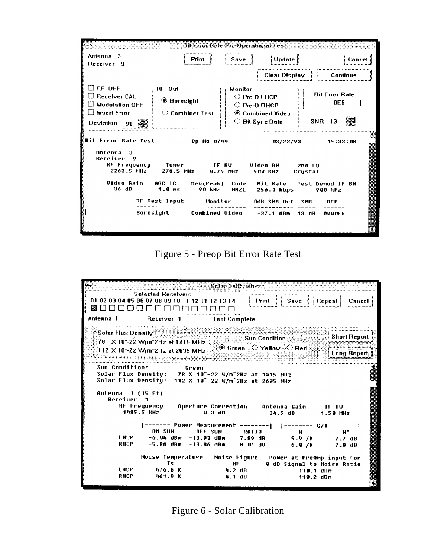| Antenna 3<br>Receiver 9                                                                         | Print                                                                      | $S$ ave<br><b>Update</b>                                                                                                | Cance                                                   |
|-------------------------------------------------------------------------------------------------|----------------------------------------------------------------------------|-------------------------------------------------------------------------------------------------------------------------|---------------------------------------------------------|
|                                                                                                 |                                                                            | <b>Clear Display</b>                                                                                                    | Continue                                                |
| l.I rf off<br>$\Box$ Receiver CAL.<br>∟l Modulation OFF<br>$\Box$ Insert Error:<br>Deviation 90 | $RF$ Out<br><b>♦ Boresight</b><br>$\heartsuit$ Combiner Test               | Monitor<br>$\bigcirc$ Pre-D LHCP<br>$\bigcirc$ Pre-D RHCP<br>$\circledast$ Combined Video<br>$\heartsuit$ Bit Sync Data | <b>Bit Error Rate</b><br>0F6<br>SNR   13                |
| <b>Bit Error Rate Test</b><br>Antenna<br>я<br>Receiver<br>9<br>RF Frequency Tuner<br>2263.5 MHz | 0p No 0744<br>IF BV<br>278.5 MHZ                                           | 03/23/93<br>Video BW<br>$0.75$ MHz<br><b>500 kHz</b>                                                                    | 15:33:08<br>2nd LO<br>Crustal                           |
| Video Gain<br>36 dB                                                                             | AGC TC<br>Dev(Peak)<br>1.0 ms<br>90 kHz<br><b>RF Test Input</b><br>Monitor | Code<br>Bit Rate<br><b>NRZL</b><br>256.8 kbps<br>OdB SMR Ref                                                            | Test Demod IF BW<br>900 kHz<br><b>BER</b><br><b>SHR</b> |
|                                                                                                 | Boresight                                                                  | Combined Video -37.1 dBm                                                                                                | $13$ dB<br>0000E6                                       |

Figure 5 - Preop Bit Error Rate Test

| <b>Selected Receivers</b><br>01 02 03 04 05 06 07 08 09 10 11 12 T1 T2 T3 T4<br>Print<br>  Repeat    Cancel<br>Sa∨e<br>Antenna 1<br>Receiver 1<br><b>Test Complete</b><br>$\mathbb R$ Solar Flux Density $\mathbb R$<br>Short Report<br><b>Sun Condition State</b><br>78 X 10^-22 W/m^2Hz at 1415 MHz<br>∕® Green ়⊘ Yellow ুঁি Red<br>112 X 10^-22 W/m^2Hz at 2695 MHz<br>Long Report<br>Sun Condition:<br>Green<br>Solar Flux Density: 78 X 10^-22 W/m^2Hz at 1415 MHz<br>Solar Flux Density: 112 X 10^-22 W/m^2Hz at 2695 MHz<br>Antenna 1 (15 Ft)<br>Receiver 1<br>RF Frequency - Aperture Correction - Antenna Gain - IF RW<br>1485.5 MHz<br>$0.3$ dB<br>34.5dB<br>1.50 MHz<br><b>ON SUN</b><br>OFF SUN<br><b>RATIO</b><br>и.<br>M.<br>LHCP -6.04 dBm -13.93 dBm 7.89 dB 5.9 /K 7.7 dB<br>-5.86 dBm -13.86 dBm<br><b>RHCP</b><br>8.01 dB<br>6.0/K<br>7.8 dB<br>Noise Temperature - Noise Figure - Power at PreAmp input for<br>Τs<br>0 dB Signal to Noise Ratio<br>NF<br>l HCP —<br>476.6 K<br>4.2 dB<br>$-110.1$ dBm |      |         | Solar Calibration |  |  |
|----------------------------------------------------------------------------------------------------------------------------------------------------------------------------------------------------------------------------------------------------------------------------------------------------------------------------------------------------------------------------------------------------------------------------------------------------------------------------------------------------------------------------------------------------------------------------------------------------------------------------------------------------------------------------------------------------------------------------------------------------------------------------------------------------------------------------------------------------------------------------------------------------------------------------------------------------------------------------------------------------------------------------|------|---------|-------------------|--|--|
|                                                                                                                                                                                                                                                                                                                                                                                                                                                                                                                                                                                                                                                                                                                                                                                                                                                                                                                                                                                                                            |      |         |                   |  |  |
|                                                                                                                                                                                                                                                                                                                                                                                                                                                                                                                                                                                                                                                                                                                                                                                                                                                                                                                                                                                                                            |      |         |                   |  |  |
|                                                                                                                                                                                                                                                                                                                                                                                                                                                                                                                                                                                                                                                                                                                                                                                                                                                                                                                                                                                                                            |      |         |                   |  |  |
|                                                                                                                                                                                                                                                                                                                                                                                                                                                                                                                                                                                                                                                                                                                                                                                                                                                                                                                                                                                                                            |      |         |                   |  |  |
|                                                                                                                                                                                                                                                                                                                                                                                                                                                                                                                                                                                                                                                                                                                                                                                                                                                                                                                                                                                                                            |      |         |                   |  |  |
|                                                                                                                                                                                                                                                                                                                                                                                                                                                                                                                                                                                                                                                                                                                                                                                                                                                                                                                                                                                                                            |      |         |                   |  |  |
|                                                                                                                                                                                                                                                                                                                                                                                                                                                                                                                                                                                                                                                                                                                                                                                                                                                                                                                                                                                                                            |      |         |                   |  |  |
|                                                                                                                                                                                                                                                                                                                                                                                                                                                                                                                                                                                                                                                                                                                                                                                                                                                                                                                                                                                                                            |      |         |                   |  |  |
|                                                                                                                                                                                                                                                                                                                                                                                                                                                                                                                                                                                                                                                                                                                                                                                                                                                                                                                                                                                                                            |      |         |                   |  |  |
|                                                                                                                                                                                                                                                                                                                                                                                                                                                                                                                                                                                                                                                                                                                                                                                                                                                                                                                                                                                                                            |      |         |                   |  |  |
|                                                                                                                                                                                                                                                                                                                                                                                                                                                                                                                                                                                                                                                                                                                                                                                                                                                                                                                                                                                                                            |      |         |                   |  |  |
|                                                                                                                                                                                                                                                                                                                                                                                                                                                                                                                                                                                                                                                                                                                                                                                                                                                                                                                                                                                                                            |      |         |                   |  |  |
|                                                                                                                                                                                                                                                                                                                                                                                                                                                                                                                                                                                                                                                                                                                                                                                                                                                                                                                                                                                                                            |      |         |                   |  |  |
|                                                                                                                                                                                                                                                                                                                                                                                                                                                                                                                                                                                                                                                                                                                                                                                                                                                                                                                                                                                                                            |      |         |                   |  |  |
|                                                                                                                                                                                                                                                                                                                                                                                                                                                                                                                                                                                                                                                                                                                                                                                                                                                                                                                                                                                                                            |      |         |                   |  |  |
|                                                                                                                                                                                                                                                                                                                                                                                                                                                                                                                                                                                                                                                                                                                                                                                                                                                                                                                                                                                                                            |      |         |                   |  |  |
|                                                                                                                                                                                                                                                                                                                                                                                                                                                                                                                                                                                                                                                                                                                                                                                                                                                                                                                                                                                                                            |      |         |                   |  |  |
|                                                                                                                                                                                                                                                                                                                                                                                                                                                                                                                                                                                                                                                                                                                                                                                                                                                                                                                                                                                                                            |      |         |                   |  |  |
|                                                                                                                                                                                                                                                                                                                                                                                                                                                                                                                                                                                                                                                                                                                                                                                                                                                                                                                                                                                                                            |      |         |                   |  |  |
|                                                                                                                                                                                                                                                                                                                                                                                                                                                                                                                                                                                                                                                                                                                                                                                                                                                                                                                                                                                                                            |      |         |                   |  |  |
|                                                                                                                                                                                                                                                                                                                                                                                                                                                                                                                                                                                                                                                                                                                                                                                                                                                                                                                                                                                                                            |      |         |                   |  |  |
|                                                                                                                                                                                                                                                                                                                                                                                                                                                                                                                                                                                                                                                                                                                                                                                                                                                                                                                                                                                                                            | RHCP | 461.9 K |                   |  |  |
| $4.1 \, dB$<br>$-110.2$ dBm                                                                                                                                                                                                                                                                                                                                                                                                                                                                                                                                                                                                                                                                                                                                                                                                                                                                                                                                                                                                |      |         |                   |  |  |

Figure 6 - Solar Calibration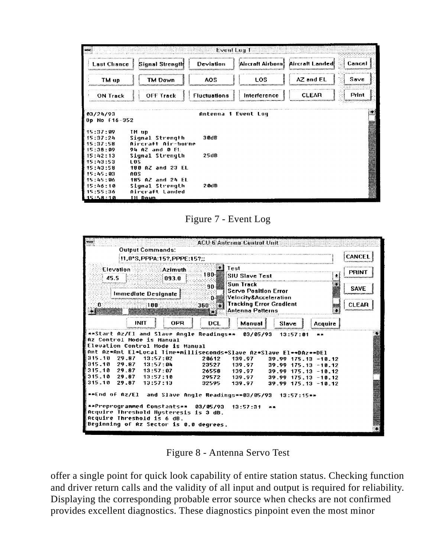| $+ +$ |                                                                              |                                                                                  | Event Lua 1         |              |                                    |        |
|-------|------------------------------------------------------------------------------|----------------------------------------------------------------------------------|---------------------|--------------|------------------------------------|--------|
|       | Last Chance                                                                  | Signal Strength                                                                  | <b>Deviation</b>    |              | Aircraft Airborn! Aircraft Landed! | Cancel |
|       | TM up                                                                        | TM Down                                                                          | AOS                 | LOS          | AZ and EL                          | Savc   |
|       | <b>ON Track</b>                                                              | OFF Track                                                                        | <b>Fluctuations</b> | Interference | <b>CLEAR</b>                       | Print  |
|       | [03/24/93<br>$0p$ No $f16-352$                                               |                                                                                  | Antenna 1 Event Log |              |                                    |        |
|       | E15:37:09<br>F 15 : 37 : 24<br>15:37:58                                      | TM up<br>Signal Strength<br>Aircraft Air-horne                                   | 3 Oct B             |              |                                    |        |
|       | 15:38:09<br>- 15 : 42 : 13<br>15:43:53<br>E 15 : 43 : 58                     | 94 AZ and 0 FL<br>Signal Strength<br><b>LOS</b><br>180 AZ and 23 EL              | 25dB                |              |                                    |        |
|       | F 15 : 45 : 03<br>E 15 : 45 : 86<br>15:46:10<br>E 15 : 55 : 36<br>E 15:58:10 | <b>AOS</b><br>185 AZ and 24 EL<br>Signal Strength<br>Aircraft Landed<br>Ill Down | 20dB                |              |                                    |        |

Figure 7 - Event Log



Figure 8 - Antenna Servo Test

offer a single point for quick look capability of entire station status. Checking function and driver return calls and the validity of all input and output is required for reliability. Displaying the corresponding probable error source when checks are not confirmed provides excellent diagnostics. These diagnostics pinpoint even the most minor